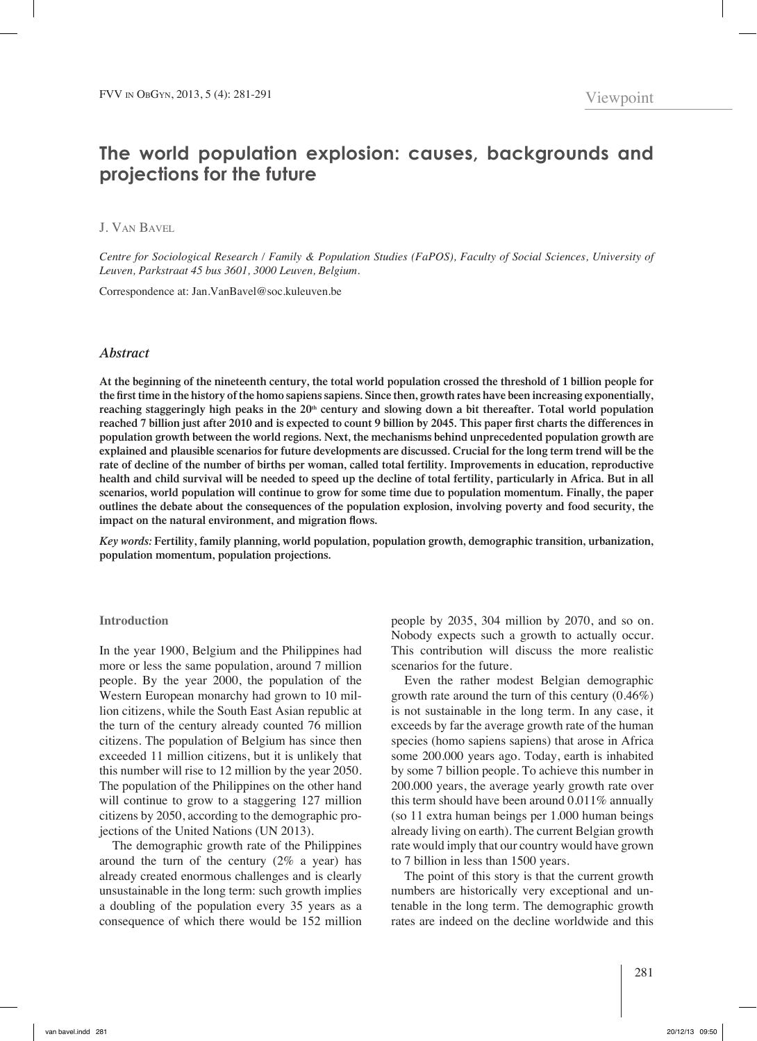# **The world population explosion: causes, backgrounds and projections for the future**

# J. Van Bavel

*Centre for Sociological Research / Family & Population Studies (FaPOS), Faculty of Social Sciences, University of Leuven, Parkstraat 45 bus 3601, 3000 Leuven, Belgium.*

Correspondence at: Jan.VanBavel@soc.kuleuven.be

# *Abstract*

**At the beginning of the nineteenth century, the total world population crossed the threshold of 1 billion people for the first time in the history of the homo sapiens sapiens. Since then, growth rates have been increasing exponentially,**  reaching staggeringly high peaks in the  $20<sup>th</sup>$  century and slowing down a bit thereafter. Total world population **reached 7 billion just after 2010 and is expected to count 9 billion by 2045. This paper first charts the differences in population growth between the world regions. Next, the mechanisms behind unprecedented population growth are explained and plausible scenarios for future developments are discussed. Crucial for the long term trend will be the rate of decline of the number of births per woman, called total fertility. Improvements in education, reproductive health and child survival will be needed to speed up the decline of total fertility, particularly in Africa. But in all scenarios, world population will continue to grow for some time due to population momentum. Finally, the paper outlines the debate about the consequences of the population explosion, involving poverty and food security, the impact on the natural environment, and migration flows.**

*Key words:* **Fertility, family planning, world population, population growth, demographic transition, urbanization, population momentum, population projections.**

## **Introduction**

In the year 1900, Belgium and the Philippines had more or less the same population, around 7 million people. By the year 2000, the population of the Western European monarchy had grown to 10 million citizens, while the South East Asian republic at the turn of the century already counted 76 million citizens. The population of Belgium has since then exceeded 11 million citizens, but it is unlikely that this number will rise to 12 million by the year 2050. The population of the Philippines on the other hand will continue to grow to a staggering 127 million citizens by 2050, according to the demographic projections of the United Nations (UN 2013).

The demographic growth rate of the Philippines around the turn of the century  $(2\%$  a year) has already created enormous challenges and is clearly unsustainable in the long term: such growth implies a doubling of the population every 35 years as a consequence of which there would be 152 million

people by 2035, 304 million by 2070, and so on. Nobody expects such a growth to actually occur. This contribution will discuss the more realistic scenarios for the future.

Even the rather modest Belgian demographic growth rate around the turn of this century (0.46%) is not sustainable in the long term. In any case, it exceeds by far the average growth rate of the human species (homo sapiens sapiens) that arose in Africa some 200.000 years ago. Today, earth is inhabited by some 7 billion people. To achieve this number in 200.000 years, the average yearly growth rate over this term should have been around  $0.011\%$  annually (so 11 extra human beings per 1.000 human beings already living on earth). The current Belgian growth rate would imply that our country would have grown to 7 billion in less than 1500 years.

The point of this story is that the current growth numbers are historically very exceptional and untenable in the long term. The demographic growth rates are indeed on the decline worldwide and this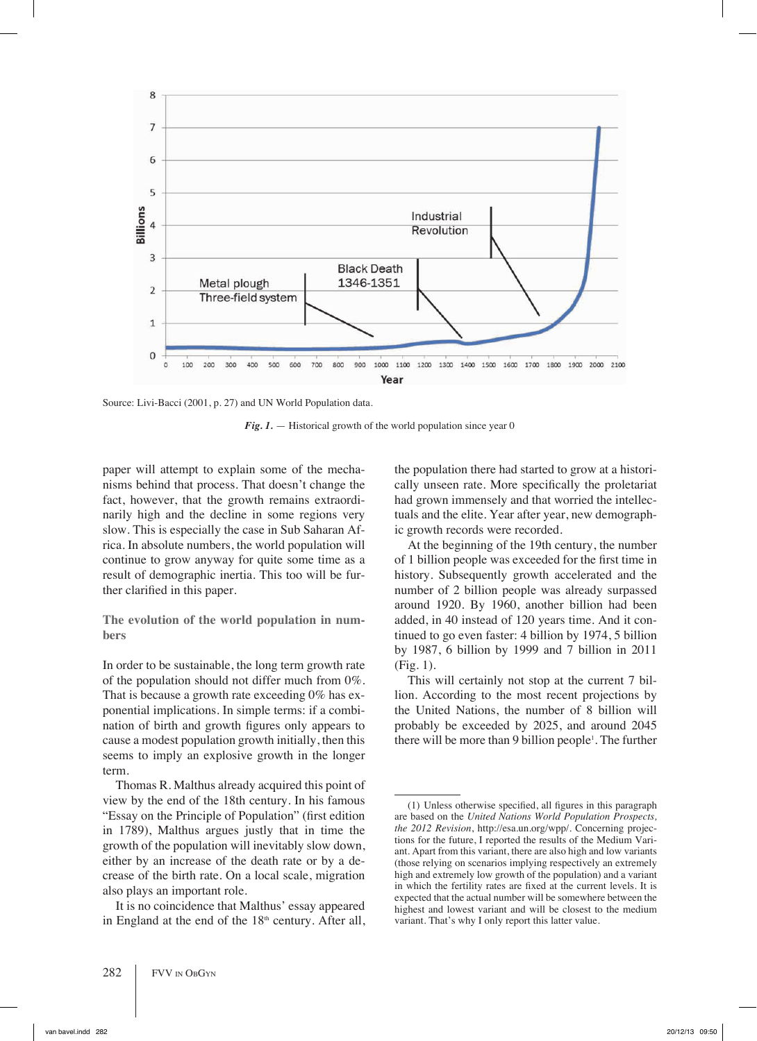

Source: Livi-Bacci (2001, p. 27) and UN World Population data.

*Fig. 1.* — Historical growth of the world population since year 0

paper will attempt to explain some of the mechanisms behind that process. That doesn't change the fact, however, that the growth remains extraordinarily high and the decline in some regions very slow. This is especially the case in Sub Saharan Africa. In absolute numbers, the world population will continue to grow anyway for quite some time as a result of demographic inertia. This too will be further clarified in this paper.

**The evolution of the world population in numbers**

In order to be sustainable, the long term growth rate of the population should not differ much from 0%. That is because a growth rate exceeding 0% has exponential implications. In simple terms: if a combination of birth and growth figures only appears to cause a modest population growth initially, then this seems to imply an explosive growth in the longer term.

Thomas R. Malthus already acquired this point of view by the end of the 18th century. In his famous "Essay on the Principle of Population" (first edition in 1789), Malthus argues justly that in time the growth of the population will inevitably slow down, either by an increase of the death rate or by a decrease of the birth rate. On a local scale, migration also plays an important role.

It is no coincidence that Malthus' essay appeared in England at the end of the  $18<sup>th</sup>$  century. After all, the population there had started to grow at a historically unseen rate. More specifically the proletariat had grown immensely and that worried the intellectuals and the elite. Year after year, new demographic growth records were recorded.

At the beginning of the 19th century, the number of 1 billion people was exceeded for the first time in history. Subsequently growth accelerated and the number of 2 billion people was already surpassed around 1920. By 1960, another billion had been added, in 40 instead of 120 years time. And it continued to go even faster: 4 billion by 1974, 5 billion by 1987, 6 billion by 1999 and 7 billion in 2011 (Fig. 1).

This will certainly not stop at the current 7 billion. According to the most recent projections by the United Nations, the number of 8 billion will probably be exceeded by 2025, and around 2045 there will be more than 9 billion people<sup>1</sup>. The further

<sup>(1)</sup> Unless otherwise specified, all figures in this paragraph are based on the *United Nations World Population Prospects, the 2012 Revision*, http://esa.un.org/wpp/. Concerning projections for the future, I reported the results of the Medium Variant. Apart from this variant, there are also high and low variants (those relying on scenarios implying respectively an extremely high and extremely low growth of the population) and a variant in which the fertility rates are fixed at the current levels. It is expected that the actual number will be somewhere between the highest and lowest variant and will be closest to the medium variant. That's why I only report this latter value.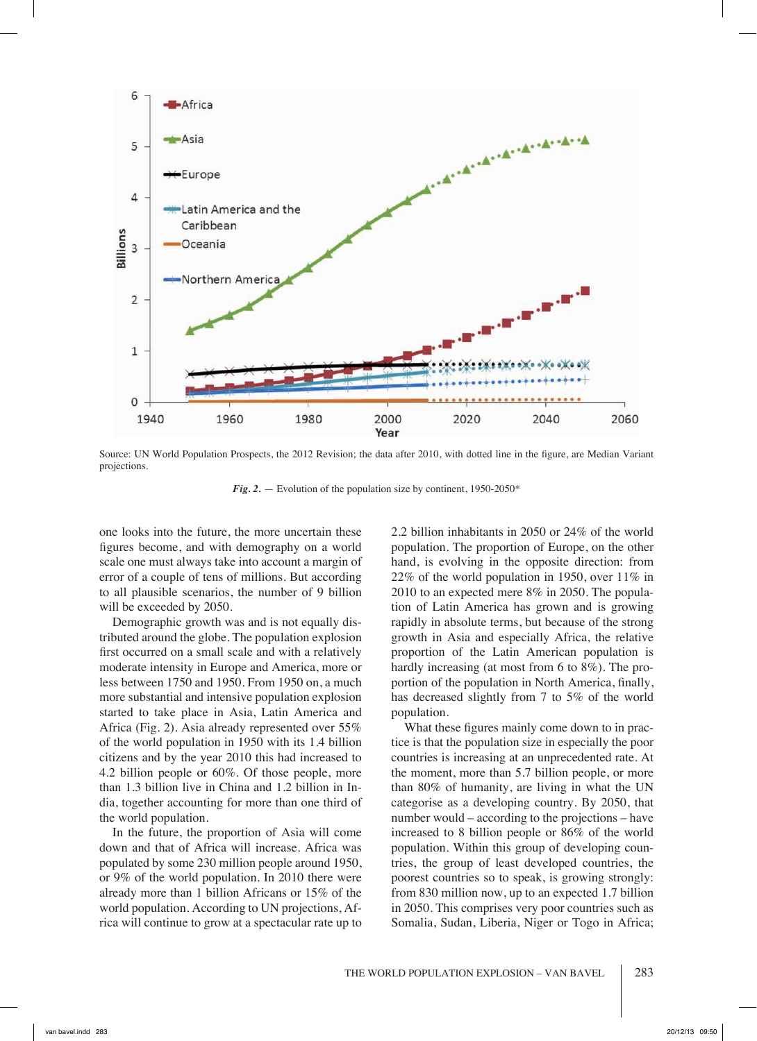

Source: UN World Population Prospects, the 2012 Revision; the data after 2010, with dotted line in the figure, are Median Variant projections.

*Fig. 2.* — Evolution of the population size by continent, 1950-2050\*

one looks into the future, the more uncertain these figures become, and with demography on a world scale one must always take into account a margin of error of a couple of tens of millions. But according to all plausible scenarios, the number of 9 billion will be exceeded by 2050.

Demographic growth was and is not equally distributed around the globe. The population explosion first occurred on a small scale and with a relatively moderate intensity in Europe and America, more or less between 1750 and 1950. From 1950 on, a much more substantial and intensive population explosion started to take place in Asia, Latin America and Africa (Fig. 2). Asia already represented over 55% of the world population in 1950 with its 1.4 billion citizens and by the year 2010 this had increased to 4.2 billion people or 60%. Of those people, more than 1.3 billion live in China and 1.2 billion in India, together accounting for more than one third of the world population.

In the future, the proportion of Asia will come down and that of Africa will increase. Africa was populated by some 230 million people around 1950, or 9% of the world population. In 2010 there were already more than 1 billion Africans or 15% of the world population. According to UN projections, Africa will continue to grow at a spectacular rate up to

2.2 billion inhabitants in 2050 or 24% of the world population. The proportion of Europe, on the other hand, is evolving in the opposite direction: from 22% of the world population in 1950, over  $11\%$  in 2010 to an expected mere 8% in 2050. The population of Latin America has grown and is growing rapidly in absolute terms, but because of the strong growth in Asia and especially Africa, the relative proportion of the Latin American population is hardly increasing (at most from 6 to 8%). The proportion of the population in North America, finally, has decreased slightly from 7 to 5% of the world population.

What these figures mainly come down to in practice is that the population size in especially the poor countries is increasing at an unprecedented rate. At the moment, more than 5.7 billion people, or more than 80% of humanity, are living in what the UN categorise as a developing country. By 2050, that number would – according to the projections – have increased to 8 billion people or 86% of the world population. Within this group of developing countries, the group of least developed countries, the poorest countries so to speak, is growing strongly: from 830 million now, up to an expected 1.7 billion in 2050. This comprises very poor countries such as Somalia, Sudan, Liberia, Niger or Togo in Africa;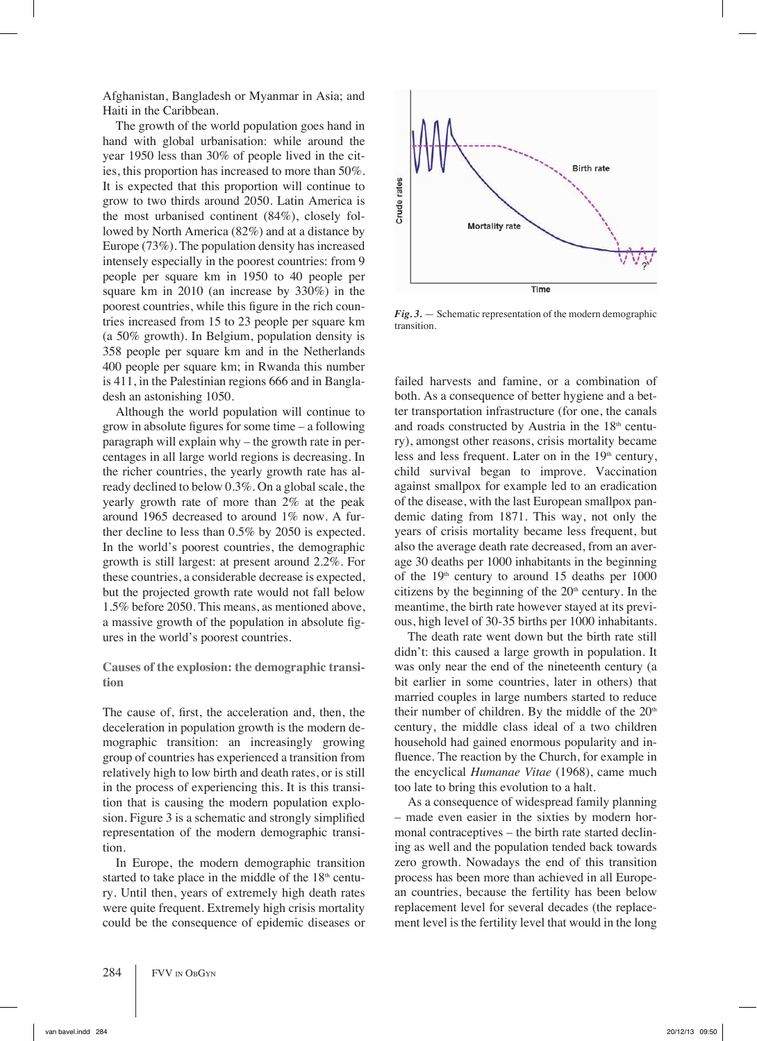Afghanistan, Bangladesh or Myanmar in Asia; and Haiti in the Caribbean.

The growth of the world population goes hand in hand with global urbanisation: while around the year 1950 less than 30% of people lived in the cities, this proportion has increased to more than 50%. It is expected that this proportion will continue to grow to two thirds around 2050. Latin America is the most urbanised continent (84%), closely followed by North America (82%) and at a distance by Europe (73%). The population density has increased intensely especially in the poorest countries: from 9 people per square km in 1950 to 40 people per square km in 2010 (an increase by 330%) in the poorest countries, while this figure in the rich countries increased from 15 to 23 people per square km (a 50% growth). In Belgium, population density is 358 people per square km and in the Netherlands 400 people per square km; in Rwanda this number is 411, in the Palestinian regions 666 and in Bangladesh an astonishing 1050.

Although the world population will continue to grow in absolute figures for some time – a following paragraph will explain why – the growth rate in percentages in all large world regions is decreasing. In the richer countries, the yearly growth rate has already declined to below 0.3%. On a global scale, the yearly growth rate of more than 2% at the peak around 1965 decreased to around 1% now. A further decline to less than 0.5% by 2050 is expected. In the world's poorest countries, the demographic growth is still largest: at present around 2.2%. For these countries, a considerable decrease is expected, but the projected growth rate would not fall below 1.5% before 2050. This means, as mentioned above, a massive growth of the population in absolute figures in the world's poorest countries.

**Causes of the explosion: the demographic transition**

The cause of, first, the acceleration and, then, the deceleration in population growth is the modern demographic transition: an increasingly growing group of countries has experienced a transition from relatively high to low birth and death rates, or is still in the process of experiencing this. It is this transition that is causing the modern population explosion. Figure 3 is a schematic and strongly simplified representation of the modern demographic transition.

In Europe, the modern demographic transition started to take place in the middle of the  $18<sup>th</sup>$  century. Until then, years of extremely high death rates were quite frequent. Extremely high crisis mortality could be the consequence of epidemic diseases or



*Fig. 3.* — Schematic representation of the modern demographic transition.

failed harvests and famine, or a combination of both. As a consequence of better hygiene and a better transportation infrastructure (for one, the canals and roads constructed by Austria in the  $18<sup>th</sup>$  century), amongst other reasons, crisis mortality became less and less frequent. Later on in the  $19<sup>th</sup>$  century, child survival began to improve. Vaccination against smallpox for example led to an eradication of the disease, with the last European smallpox pandemic dating from 1871. This way, not only the years of crisis mortality became less frequent, but also the average death rate decreased, from an average 30 deaths per 1000 inhabitants in the beginning of the  $19<sup>th</sup>$  century to around 15 deaths per 1000 citizens by the beginning of the  $20<sup>th</sup>$  century. In the meantime, the birth rate however stayed at its previous, high level of 30-35 births per 1000 inhabitants.

The death rate went down but the birth rate still didn't: this caused a large growth in population. It was only near the end of the nineteenth century (a bit earlier in some countries, later in others) that married couples in large numbers started to reduce their number of children. By the middle of the  $20<sup>th</sup>$ century, the middle class ideal of a two children household had gained enormous popularity and influence. The reaction by the Church, for example in the encyclical *Humanae Vitae* (1968), came much too late to bring this evolution to a halt.

As a consequence of widespread family planning – made even easier in the sixties by modern hormonal contraceptives – the birth rate started declining as well and the population tended back towards zero growth. Nowadays the end of this transition process has been more than achieved in all European countries, because the fertility has been below replacement level for several decades (the replacement level is the fertility level that would in the long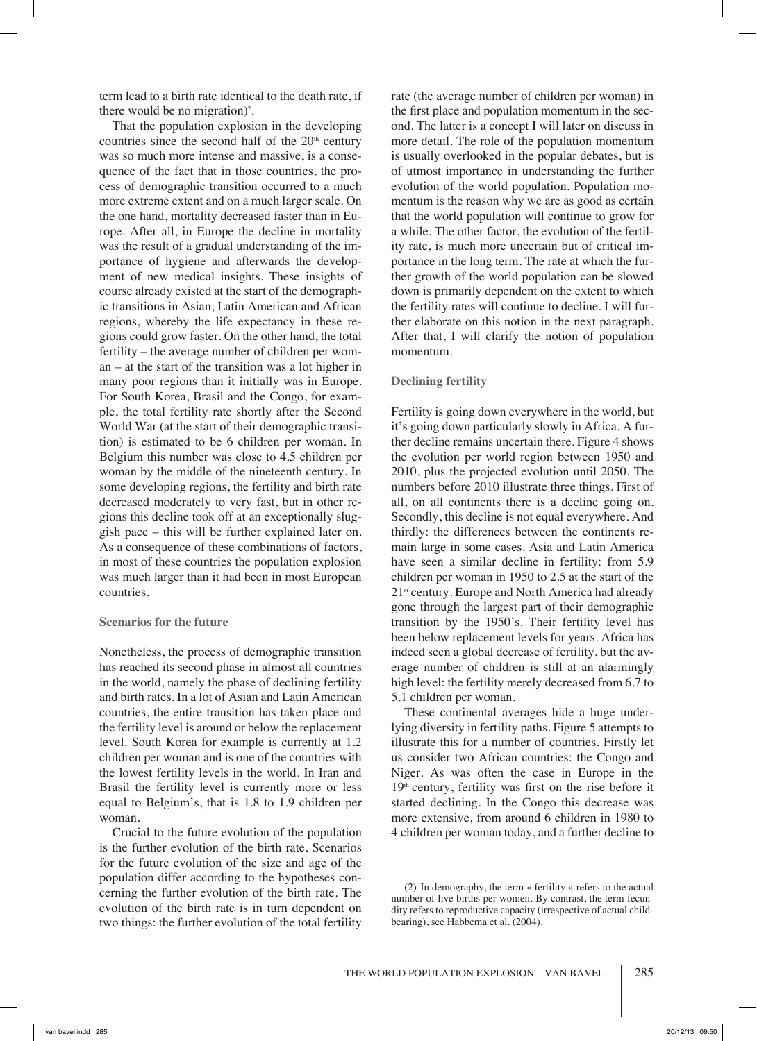term lead to a birth rate identical to the death rate, if there would be no migration)<sup>2</sup>.

That the population explosion in the developing countries since the second half of the  $20<sup>th</sup>$  century was so much more intense and massive, is a consequence of the fact that in those countries, the process of demographic transition occurred to a much more extreme extent and on a much larger scale. On the one hand, mortality decreased faster than in Europe. After all, in Europe the decline in mortality was the result of a gradual understanding of the importance of hygiene and afterwards the development of new medical insights. These insights of course already existed at the start of the demographic transitions in Asian, Latin American and African regions, whereby the life expectancy in these regions could grow faster. On the other hand, the total fertility – the average number of children per woman – at the start of the transition was a lot higher in many poor regions than it initially was in Europe. For South Korea, Brasil and the Congo, for example, the total fertility rate shortly after the Second World War (at the start of their demographic transition) is estimated to be 6 children per woman. In Belgium this number was close to 4.5 children per woman by the middle of the nineteenth century. In some developing regions, the fertility and birth rate decreased moderately to very fast, but in other regions this decline took off at an exceptionally sluggish pace – this will be further explained later on. As a consequence of these combinations of factors, in most of these countries the population explosion was much larger than it had been in most European countries.

# **Scenarios for the future**

Nonetheless, the process of demographic transition has reached its second phase in almost all countries in the world, namely the phase of declining fertility and birth rates. In a lot of Asian and Latin American countries, the entire transition has taken place and the fertility level is around or below the replacement level. South Korea for example is currently at 1.2 children per woman and is one of the countries with the lowest fertility levels in the world. In Iran and Brasil the fertility level is currently more or less equal to Belgium's, that is 1.8 to 1.9 children per woman.

Crucial to the future evolution of the population is the further evolution of the birth rate. Scenarios for the future evolution of the size and age of the population differ according to the hypotheses concerning the further evolution of the birth rate. The evolution of the birth rate is in turn dependent on two things: the further evolution of the total fertility

rate (the average number of children per woman) in the first place and population momentum in the second. The latter is a concept I will later on discuss in more detail. The role of the population momentum is usually overlooked in the popular debates, but is of utmost importance in understanding the further evolution of the world population. Population momentum is the reason why we are as good as certain that the world population will continue to grow for a while. The other factor, the evolution of the fertility rate, is much more uncertain but of critical importance in the long term. The rate at which the further growth of the world population can be slowed down is primarily dependent on the extent to which the fertility rates will continue to decline. I will further elaborate on this notion in the next paragraph. After that, I will clarify the notion of population momentum.

## **Declining fertility**

Fertility is going down everywhere in the world, but it's going down particularly slowly in Africa. A further decline remains uncertain there. Figure 4 shows the evolution per world region between 1950 and 2010, plus the projected evolution until 2050. The numbers before 2010 illustrate three things. First of all, on all continents there is a decline going on. Secondly, this decline is not equal everywhere. And thirdly: the differences between the continents remain large in some cases. Asia and Latin America have seen a similar decline in fertility: from 5.9 children per woman in 1950 to 2.5 at the start of the  $21<sup>st</sup>$  century. Europe and North America had already gone through the largest part of their demographic transition by the 1950's. Their fertility level has been below replacement levels for years. Africa has indeed seen a global decrease of fertility, but the average number of children is still at an alarmingly high level: the fertility merely decreased from 6.7 to 5.1 children per woman.

These continental averages hide a huge underlying diversity in fertility paths. Figure 5 attempts to illustrate this for a number of countries. Firstly let us consider two African countries: the Congo and Niger. As was often the case in Europe in the  $19<sup>th</sup>$  century, fertility was first on the rise before it started declining. In the Congo this decrease was more extensive, from around 6 children in 1980 to 4 children per woman today, and a further decline to

<sup>(2)</sup> In demography, the term « fertility » refers to the actual number of live births per women. By contrast, the term fecundity refers to reproductive capacity (irrespective of actual childbearing), see Habbema et al. (2004).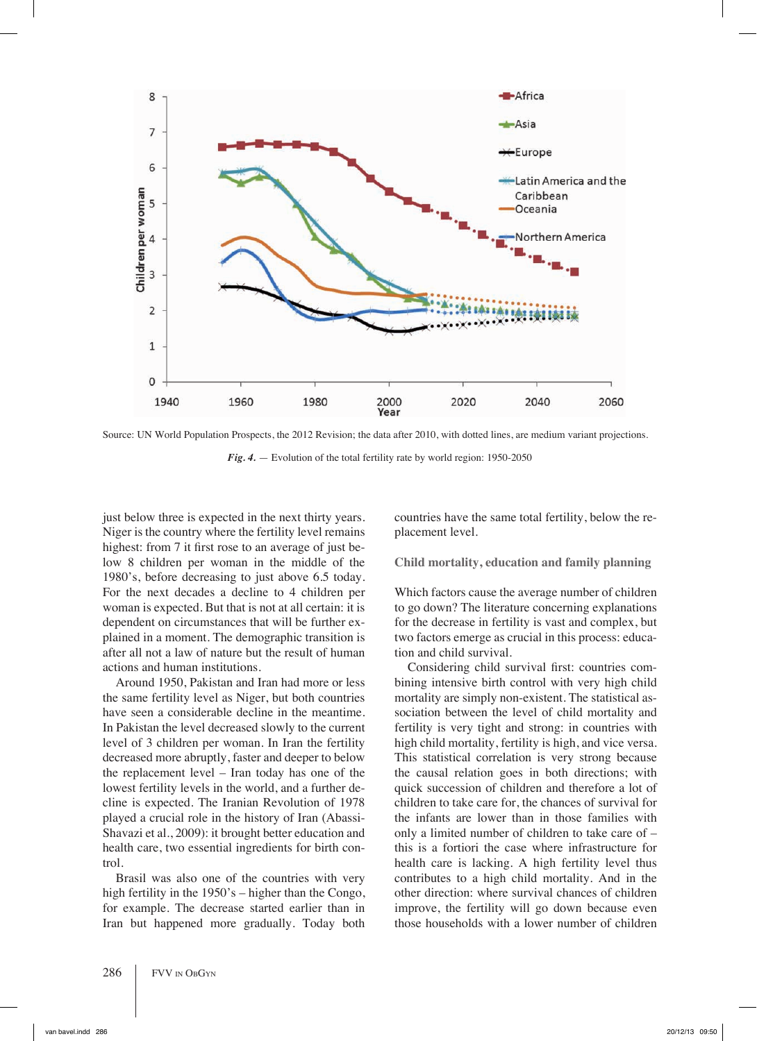

Source: UN World Population Prospects, the 2012 Revision; the data after 2010, with dotted lines, are medium variant projections.

*Fig. 4.* — Evolution of the total fertility rate by world region: 1950-2050

just below three is expected in the next thirty years. Niger is the country where the fertility level remains highest: from 7 it first rose to an average of just below 8 children per woman in the middle of the 1980's, before decreasing to just above 6.5 today. For the next decades a decline to 4 children per woman is expected. But that is not at all certain: it is dependent on circumstances that will be further explained in a moment. The demographic transition is after all not a law of nature but the result of human actions and human institutions.

Around 1950, Pakistan and Iran had more or less the same fertility level as Niger, but both countries have seen a considerable decline in the meantime. In Pakistan the level decreased slowly to the current level of 3 children per woman. In Iran the fertility decreased more abruptly, faster and deeper to below the replacement level – Iran today has one of the lowest fertility levels in the world, and a further decline is expected. The Iranian Revolution of 1978 played a crucial role in the history of Iran (Abassi-Shavazi et al., 2009): it brought better education and health care, two essential ingredients for birth control.

Brasil was also one of the countries with very high fertility in the 1950's – higher than the Congo, for example. The decrease started earlier than in Iran but happened more gradually. Today both countries have the same total fertility, below the replacement level.

## **Child mortality, education and family planning**

Which factors cause the average number of children to go down? The literature concerning explanations for the decrease in fertility is vast and complex, but two factors emerge as crucial in this process: education and child survival.

Considering child survival first: countries combining intensive birth control with very high child mortality are simply non-existent. The statistical association between the level of child mortality and fertility is very tight and strong: in countries with high child mortality, fertility is high, and vice versa. This statistical correlation is very strong because the causal relation goes in both directions; with quick succession of children and therefore a lot of children to take care for, the chances of survival for the infants are lower than in those families with only a limited number of children to take care of – this is a fortiori the case where infrastructure for health care is lacking. A high fertility level thus contributes to a high child mortality. And in the other direction: where survival chances of children improve, the fertility will go down because even those households with a lower number of children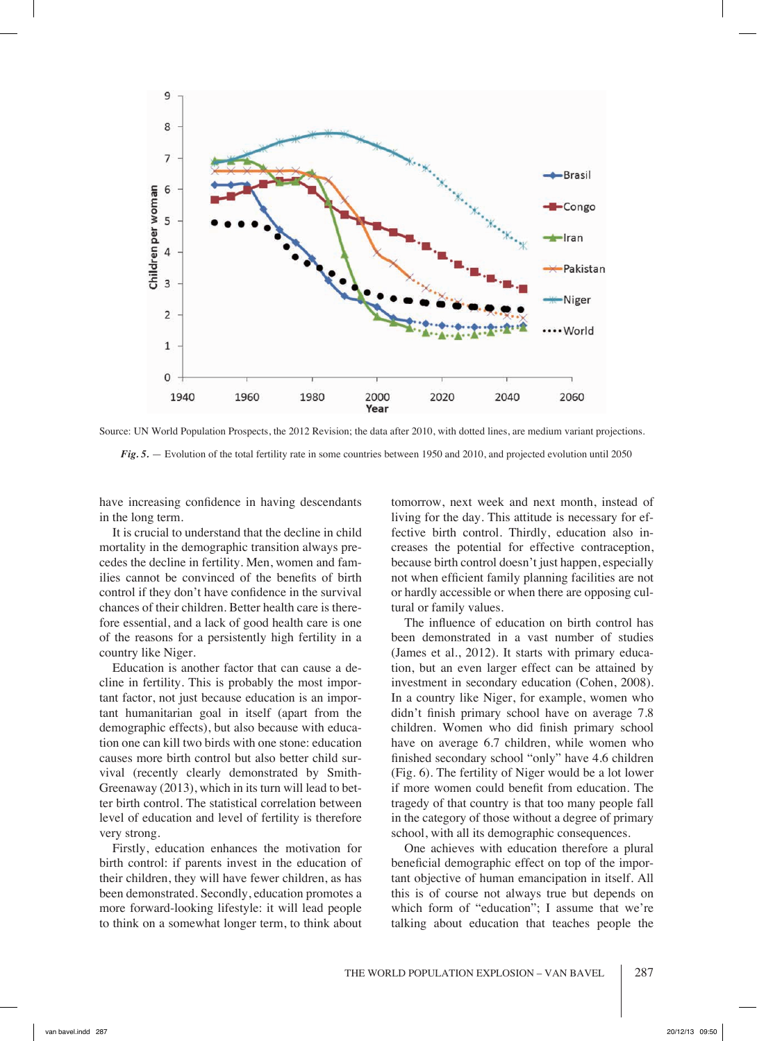

Source: UN World Population Prospects, the 2012 Revision; the data after 2010, with dotted lines, are medium variant projections.

*Fig. 5.* — Evolution of the total fertility rate in some countries between 1950 and 2010, and projected evolution until 2050

have increasing confidence in having descendants in the long term.

It is crucial to understand that the decline in child mortality in the demographic transition always precedes the decline in fertility. Men, women and families cannot be convinced of the benefits of birth control if they don't have confidence in the survival chances of their children. Better health care is therefore essential, and a lack of good health care is one of the reasons for a persistently high fertility in a country like Niger.

Education is another factor that can cause a decline in fertility. This is probably the most important factor, not just because education is an important humanitarian goal in itself (apart from the demographic effects), but also because with education one can kill two birds with one stone: education causes more birth control but also better child survival (recently clearly demonstrated by Smith-Greenaway (2013), which in its turn will lead to better birth control. The statistical correlation between level of education and level of fertility is therefore very strong.

Firstly, education enhances the motivation for birth control: if parents invest in the education of their children, they will have fewer children, as has been demonstrated. Secondly, education promotes a more forward-looking lifestyle: it will lead people to think on a somewhat longer term, to think about

tomorrow, next week and next month, instead of living for the day. This attitude is necessary for effective birth control. Thirdly, education also increases the potential for effective contraception, because birth control doesn't just happen, especially not when efficient family planning facilities are not or hardly accessible or when there are opposing cultural or family values.

The influence of education on birth control has been demonstrated in a vast number of studies (James et al., 2012). It starts with primary education, but an even larger effect can be attained by investment in secondary education (Cohen, 2008). In a country like Niger, for example, women who didn't finish primary school have on average 7.8 children. Women who did finish primary school have on average 6.7 children, while women who finished secondary school "only" have 4.6 children (Fig. 6). The fertility of Niger would be a lot lower if more women could benefit from education. The tragedy of that country is that too many people fall in the category of those without a degree of primary school, with all its demographic consequences.

One achieves with education therefore a plural beneficial demographic effect on top of the important objective of human emancipation in itself. All this is of course not always true but depends on which form of "education"; I assume that we're talking about education that teaches people the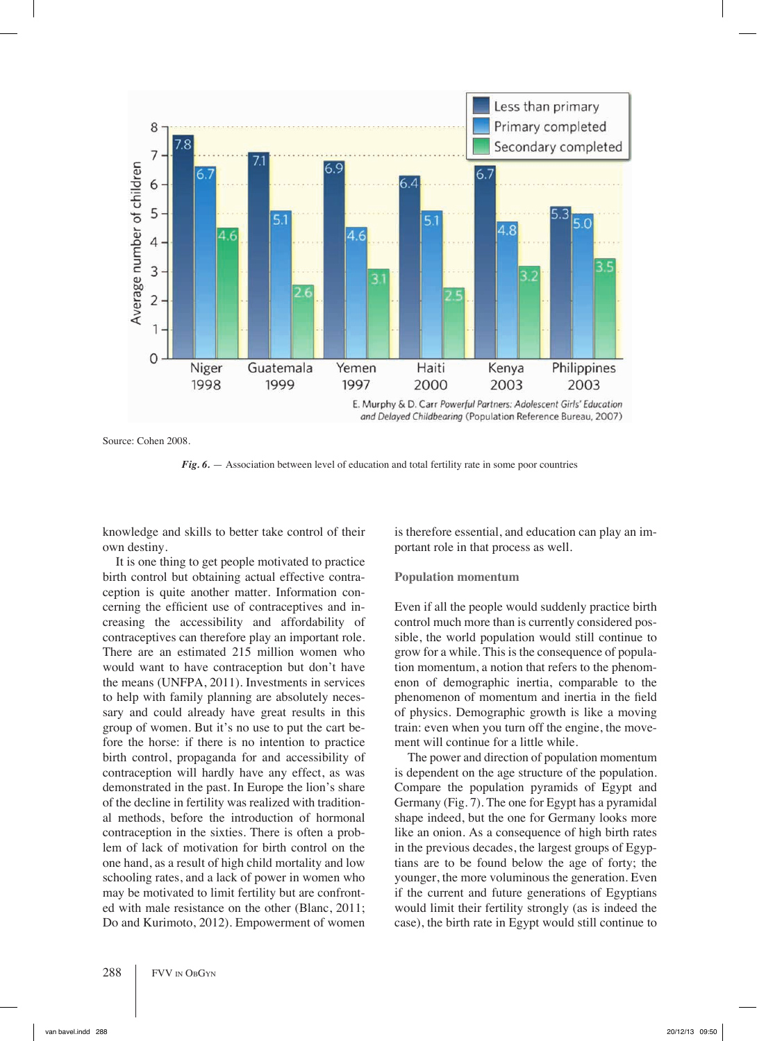

and Delayed Childbearing (Population Reference Bureau, 2007)

Source: Cohen 2008.

*Fig. 6.* — Association between level of education and total fertility rate in some poor countries

knowledge and skills to better take control of their own destiny.

It is one thing to get people motivated to practice birth control but obtaining actual effective contraception is quite another matter. Information concerning the efficient use of contraceptives and increasing the accessibility and affordability of contraceptives can therefore play an important role. There are an estimated 215 million women who would want to have contraception but don't have the means (UNFPA, 2011). Investments in services to help with family planning are absolutely necessary and could already have great results in this group of women. But it's no use to put the cart before the horse: if there is no intention to practice birth control, propaganda for and accessibility of contraception will hardly have any effect, as was demonstrated in the past. In Europe the lion's share of the decline in fertility was realized with traditional methods, before the introduction of hormonal contraception in the sixties. There is often a problem of lack of motivation for birth control on the one hand, as a result of high child mortality and low schooling rates, and a lack of power in women who may be motivated to limit fertility but are confronted with male resistance on the other (Blanc, 2011; Do and Kurimoto, 2012). Empowerment of women is therefore essential, and education can play an important role in that process as well.

# **Population momentum**

Even if all the people would suddenly practice birth control much more than is currently considered possible, the world population would still continue to grow for a while. This is the consequence of population momentum, a notion that refers to the phenomenon of demographic inertia, comparable to the phenomenon of momentum and inertia in the field of physics. Demographic growth is like a moving train: even when you turn off the engine, the movement will continue for a little while.

The power and direction of population momentum is dependent on the age structure of the population. Compare the population pyramids of Egypt and Germany (Fig. 7). The one for Egypt has a pyramidal shape indeed, but the one for Germany looks more like an onion. As a consequence of high birth rates in the previous decades, the largest groups of Egyptians are to be found below the age of forty; the younger, the more voluminous the generation. Even if the current and future generations of Egyptians would limit their fertility strongly (as is indeed the case), the birth rate in Egypt would still continue to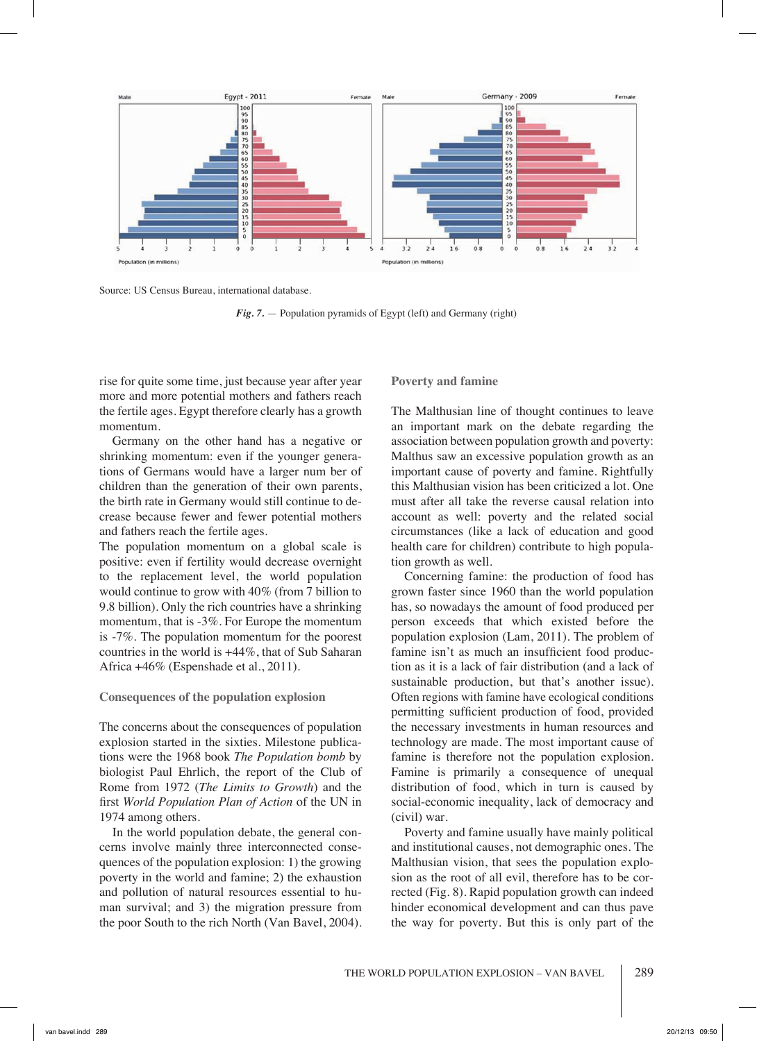

Source: US Census Bureau, international database.

*Fig. 7.* — Population pyramids of Egypt (left) and Germany (right)

rise for quite some time, just because year after year more and more potential mothers and fathers reach the fertile ages. Egypt therefore clearly has a growth momentum.

Germany on the other hand has a negative or shrinking momentum: even if the younger generations of Germans would have a larger num ber of children than the generation of their own parents, the birth rate in Germany would still continue to decrease because fewer and fewer potential mothers and fathers reach the fertile ages.

The population momentum on a global scale is positive: even if fertility would decrease overnight to the replacement level, the world population would continue to grow with 40% (from 7 billion to 9.8 billion). Only the rich countries have a shrinking momentum, that is -3%. For Europe the momentum is -7%. The population momentum for the poorest countries in the world is +44%, that of Sub Saharan Africa +46% (Espenshade et al., 2011).

## **Consequences of the population explosion**

The concerns about the consequences of population explosion started in the sixties. Milestone publications were the 1968 book *The Population bomb* by biologist Paul Ehrlich, the report of the Club of Rome from 1972 (*The Limits to Growth*) and the first *World Population Plan of Action* of the UN in 1974 among others.

In the world population debate, the general concerns involve mainly three interconnected consequences of the population explosion: 1) the growing poverty in the world and famine; 2) the exhaustion and pollution of natural resources essential to human survival; and 3) the migration pressure from the poor South to the rich North (Van Bavel, 2004).

## **Poverty and famine**

The Malthusian line of thought continues to leave an important mark on the debate regarding the association between population growth and poverty: Malthus saw an excessive population growth as an important cause of poverty and famine. Rightfully this Malthusian vision has been criticized a lot. One must after all take the reverse causal relation into account as well: poverty and the related social circumstances (like a lack of education and good health care for children) contribute to high population growth as well.

Concerning famine: the production of food has grown faster since 1960 than the world population has, so nowadays the amount of food produced per person exceeds that which existed before the population explosion (Lam, 2011). The problem of famine isn't as much an insufficient food production as it is a lack of fair distribution (and a lack of sustainable production, but that's another issue). Often regions with famine have ecological conditions permitting sufficient production of food, provided the necessary investments in human resources and technology are made. The most important cause of famine is therefore not the population explosion. Famine is primarily a consequence of unequal distribution of food, which in turn is caused by social-economic inequality, lack of democracy and (civil) war.

Poverty and famine usually have mainly political and institutional causes, not demographic ones. The Malthusian vision, that sees the population explosion as the root of all evil, therefore has to be corrected (Fig. 8). Rapid population growth can indeed hinder economical development and can thus pave the way for poverty. But this is only part of the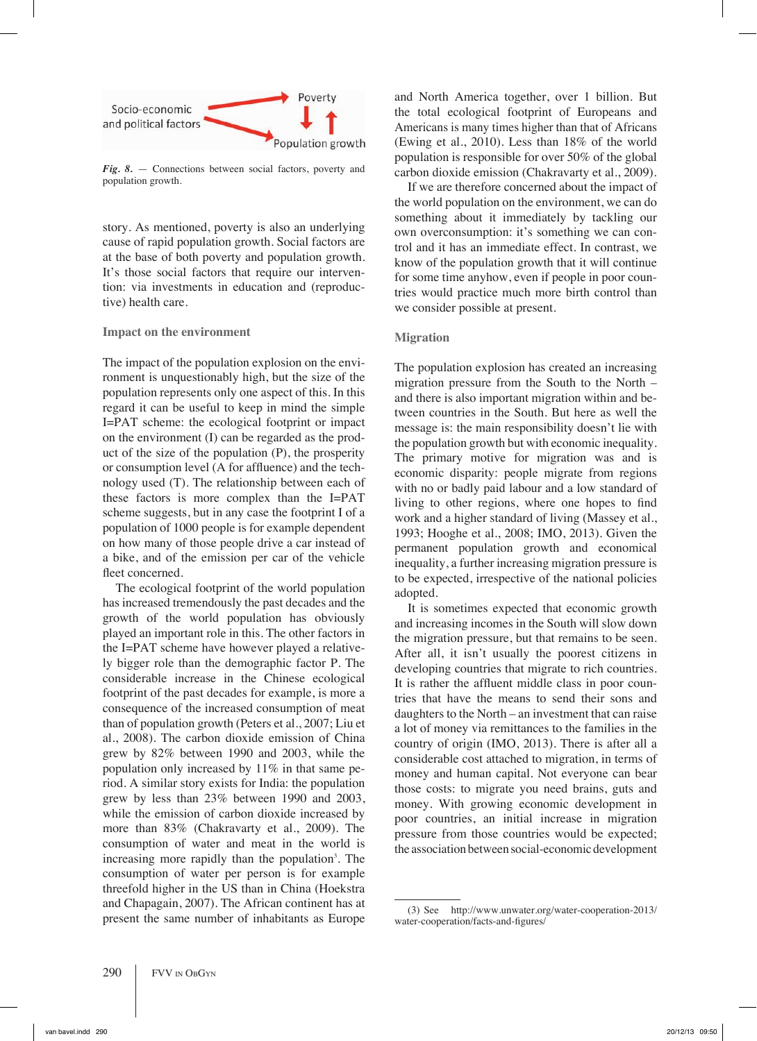

*Fig. 8.* — Connections between social factors, poverty and population growth.

story. As mentioned, poverty is also an underlying cause of rapid population growth. Social factors are at the base of both poverty and population growth. It's those social factors that require our intervention: via investments in education and (reproductive) health care.

## **Impact on the environment**

The impact of the population explosion on the environment is unquestionably high, but the size of the population represents only one aspect of this. In this regard it can be useful to keep in mind the simple I=PAT scheme: the ecological footprint or impact on the environment (I) can be regarded as the product of the size of the population (P), the prosperity or consumption level (A for affluence) and the technology used (T). The relationship between each of these factors is more complex than the I=PAT scheme suggests, but in any case the footprint I of a population of 1000 people is for example dependent on how many of those people drive a car instead of a bike, and of the emission per car of the vehicle fleet concerned.

The ecological footprint of the world population has increased tremendously the past decades and the growth of the world population has obviously played an important role in this. The other factors in the I=PAT scheme have however played a relatively bigger role than the demographic factor P. The considerable increase in the Chinese ecological footprint of the past decades for example, is more a consequence of the increased consumption of meat than of population growth (Peters et al., 2007; Liu et al., 2008). The carbon dioxide emission of China grew by 82% between 1990 and 2003, while the population only increased by 11% in that same period. A similar story exists for India: the population grew by less than 23% between 1990 and 2003, while the emission of carbon dioxide increased by more than 83% (Chakravarty et al., 2009). The consumption of water and meat in the world is increasing more rapidly than the population<sup>3</sup>. The consumption of water per person is for example threefold higher in the US than in China (Hoekstra and Chapagain, 2007). The African continent has at present the same number of inhabitants as Europe

and North America together, over 1 billion. But the total ecological footprint of Europeans and Americans is many times higher than that of Africans (Ewing et al., 2010). Less than 18% of the world population is responsible for over 50% of the global carbon dioxide emission (Chakravarty et al., 2009).

If we are therefore concerned about the impact of the world population on the environment, we can do something about it immediately by tackling our own overconsumption: it's something we can control and it has an immediate effect. In contrast, we know of the population growth that it will continue for some time anyhow, even if people in poor countries would practice much more birth control than we consider possible at present.

## **Migration**

The population explosion has created an increasing migration pressure from the South to the North – and there is also important migration within and between countries in the South. But here as well the message is: the main responsibility doesn't lie with the population growth but with economic inequality. The primary motive for migration was and is economic disparity: people migrate from regions with no or badly paid labour and a low standard of living to other regions, where one hopes to find work and a higher standard of living (Massey et al., 1993; Hooghe et al., 2008; IMO, 2013). Given the permanent population growth and economical inequality, a further increasing migration pressure is to be expected, irrespective of the national policies adopted.

It is sometimes expected that economic growth and increasing incomes in the South will slow down the migration pressure, but that remains to be seen. After all, it isn't usually the poorest citizens in developing countries that migrate to rich countries. It is rather the affluent middle class in poor countries that have the means to send their sons and daughters to the North – an investment that can raise a lot of money via remittances to the families in the country of origin (IMO, 2013). There is after all a considerable cost attached to migration, in terms of money and human capital. Not everyone can bear those costs: to migrate you need brains, guts and money. With growing economic development in poor countries, an initial increase in migration pressure from those countries would be expected; the association between social-economic development

<sup>(3)</sup> See http://www.unwater.org/water-cooperation-2013/ water-cooperation/facts-and-figures/